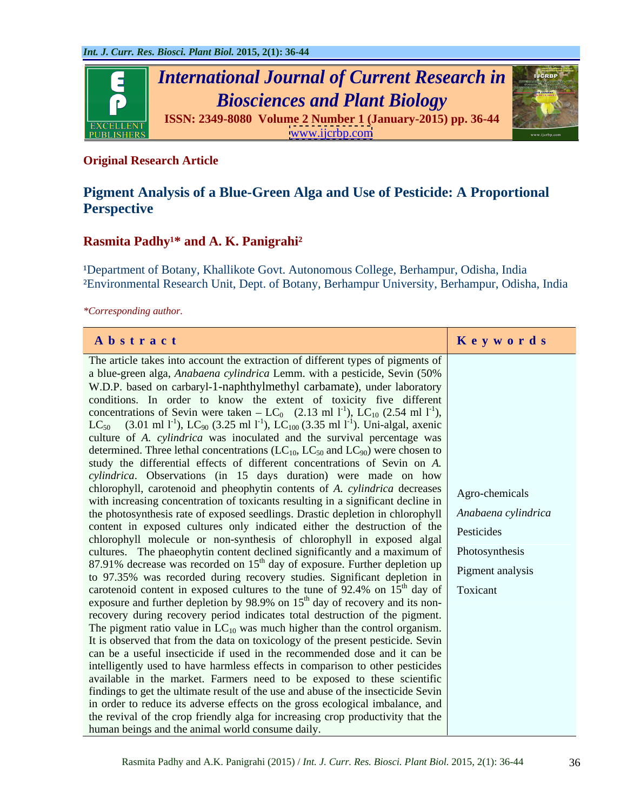

## **Original Research Article**

# **Pigment Analysis of a Blue-Green Alga and Use of Pesticide: A Proportional Perspective**

## Rasmita Padhy<sup>1\*</sup> and A. K. Panigrahi<sup>2</sup>

<sup>1</sup>Department of Botany, Khallikote Govt. Autonomous College, Berhampur, Odisha, India ²Environmental Research Unit, Dept. of Botany, Berhampur University, Berhampur, Odisha, India

*\*Corresponding author.*

| Abstract                                                                                                                                                     | Keywords            |
|--------------------------------------------------------------------------------------------------------------------------------------------------------------|---------------------|
| The article takes into account the extraction of different types of pigments of                                                                              |                     |
| a blue-green alga, Anabaena cylindrica Lemm. with a pesticide, Sevin (50%)                                                                                   |                     |
| W.D.P. based on carbaryl-1-naphthylmethyl carbamate), under laboratory                                                                                       |                     |
| conditions. In order to know the extent of toxicity five different                                                                                           |                     |
| concentrations of Sevin were taken – LC <sub>0</sub> (2.13 ml 1 <sup>-1</sup> ), LC <sub>10</sub> (2.54 ml 1 <sup>-1</sup> ),                                |                     |
| LC <sub>50</sub> (3.01 ml 1 <sup>-1</sup> ), LC <sub>90</sub> (3.25 ml 1 <sup>-1</sup> ), LC <sub>100</sub> (3.35 ml 1 <sup>-1</sup> ). Uni-algal, axenic    |                     |
| culture of A. cylindrica was inoculated and the survival percentage was                                                                                      |                     |
| determined. Three lethal concentrations (LC <sub>10</sub> , LC <sub>50</sub> and LC <sub>90</sub> ) were chosen to                                           |                     |
| study the differential effects of different concentrations of Sevin on A.                                                                                    |                     |
| cylindrica. Observations (in 15 days duration) were made on how                                                                                              |                     |
| chlorophyll, carotenoid and pheophytin contents of A. cylindrica decreases                                                                                   | Agro-chemicals      |
| with increasing concentration of toxicants resulting in a significant decline in                                                                             |                     |
| the photosynthesis rate of exposed seedlings. Drastic depletion in chlorophyll                                                                               | Anabaena cylindrica |
| content in exposed cultures only indicated either the destruction of the                                                                                     | Pesticides          |
| chlorophyll molecule or non-synthesis of chlorophyll in exposed algal                                                                                        |                     |
| cultures. The phaeophytin content declined significantly and a maximum of                                                                                    | Photosynthesis      |
| 87.91% decrease was recorded on 15 <sup>th</sup> day of exposure. Further depletion up                                                                       | Pigment analysis    |
| to 97.35% was recorded during recovery studies. Significant depletion in                                                                                     |                     |
| carotenoid content in exposed cultures to the tune of 92.4% on $15th$ day of Toxicant                                                                        |                     |
| exposure and further depletion by 98.9% on $15th$ day of recovery and its non-                                                                               |                     |
| recovery during recovery period indicates total destruction of the pigment.                                                                                  |                     |
| The pigment ratio value in $LC_{10}$ was much higher than the control organism.                                                                              |                     |
| It is observed that from the data on toxicology of the present pesticide. Sevin<br>can be a useful insecticide if used in the recommended dose and it can be |                     |
| intelligently used to have harmless effects in comparison to other pesticides                                                                                |                     |
| available in the market. Farmers need to be exposed to these scientific                                                                                      |                     |
| findings to get the ultimate result of the use and abuse of the insecticide Sevin                                                                            |                     |
| in order to reduce its adverse effects on the gross ecological imbalance, and                                                                                |                     |
| the revival of the crop friendly alga for increasing crop productivity that the                                                                              |                     |
| human beings and the animal world consume daily.                                                                                                             |                     |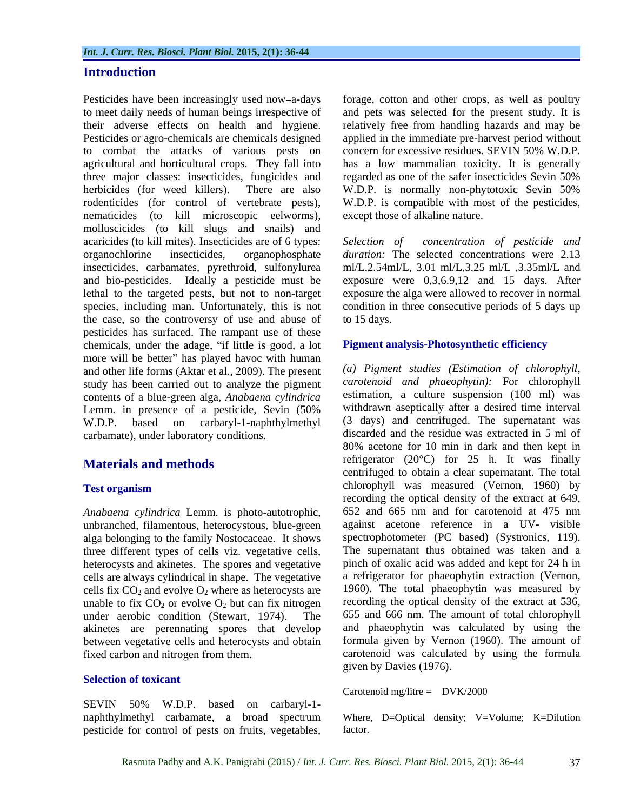## **Introduction**

to combat the attacks of various pests on nematicides (to kill microscopic eelworms), molluscicides (to kill slugs and snails) and acaricides (to kill mites). Insecticides are of 6 types: Selection of organochlorine insecticides, organophosphate *duration:* The selected concentrationswere 2.13 insecticides, carbamates, pyrethroid, sulfonylurea and bio-pesticides. Ideally a pesticide must be exposure were 0,3,6.9,12 and 15 days. After lethal to the targeted pests, but not to non-target exposure the alga were allowed to recover in normal species, including man. Unfortunately, this is not condition in three consecutive periods of 5 days up the case, so the controversy of use and abuse of to 15 days. pesticides has surfaced. The rampant use of these chemicals, under the adage, "if little is good, a lot more will be better" has played havoc with human and other life forms (Aktar et al., 2009). The present study has been carried out to analyze the pigment contents of a blue-green alga, *Anabaena cylindrica* Lemm. in presence of a pesticide, Sevin (50% W.D.P. based on carbaryl-1-naphthylmethyl (3 days) and centrifuged. The supernatant was carbamate), under laboratory conditions.

*Anabaena cylindrica* Lemm. is photo-autotrophic, unbranched, filamentous, heterocystous, blue-green alga belonging to the family Nostocaceae. It shows three different types of cells viz. vegetative cells, cells are always cylindrical in shape. The vegetative cells fix  $CO<sub>2</sub>$  and evolve  $O<sub>2</sub>$  where as heterocysts are unable to fix  $CO<sub>2</sub>$  or evolve  $O<sub>2</sub>$  but can fix nitrogen under aerobic condition (Stewart, 1974). The akinetes are perennating spores that develop between vegetative cells and heterocysts and obtain

### **Selection of toxicant**

SEVIN 50% W.D.P. based on carbaryl-1 pesticide for control of pests on fruits, vegetables,

Pesticides have been increasingly used now-a-days forage, cotton and other crops, as well as poultry to meet daily needs of human beings irrespective of and pets was selected for the present study. It is their adverse effects on health and hygiene. relatively free from handling hazards and may be Pesticides or agro-chemicals are chemicals designed applied in the immediate pre-harvest period without agricultural and horticultural crops. They fall into has a low mammalian toxicity. It is generally three major classes: insecticides, fungicides and regarded as one of the safer insecticides Sevin 50% herbicides (for weed killers). There are also W.D.P. is normally non-phytotoxic Sevin 50% rodenticides (for control of vertebrate pests), W.D.P. is compatible with most of the pesticides, concern for excessive residues. SEVIN 50% W.D.P. except those of alkaline nature.

> *Selection of concentration of pesticide and* ml/L,2.54ml/L, 3.01 ml/L,3.25 ml/L ,3.35ml/L and to 15 days.

## **Pigment analysis-Photosynthetic efficiency**

**Materials and methods** refrigerator (20<sup>o</sup>C) for 25 h. It was finally represented to a big a gluon superintent. The total **Test organism CHOOPHOUT CONSERVANT WAS measured** (Vernon, 1960) by heterocysts and akinetes. The spores and vegetative pinch of oxalic acid was added and kept for 24 h in fixed carbon and nitrogen from them. carotenoid was calculated by using the formula *(a) Pigment studies (Estimation of chlorophyll, carotenoid and phaeophytin):* For chlorophyll estimation, a culture suspension (100 ml) was withdrawn aseptically after a desired time interval discarded and the residue was extracted in 5 ml of 80% acetone for 10 min in dark and then kept in centrifuged to obtain a clear supernatant. The total chlorophyll was measured (Vernon, 1960) by recording the optical density of the extract at 649, 652 and 665 nm and for carotenoid at 475 nm against acetone reference in a UV- visible spectrophotometer (PC based) (Systronics, 119). The supernatant thus obtained was taken and a a refrigerator for phaeophytin extraction (Vernon, 1960). The total phaeophytin was measured by recording the optical density of the extract at 536, 655 and 666 nm. The amount of total chlorophyll and phaeophytin was calculated by using the formula given by Vernon (1960). The amount of given by Davies (1976).

Carotenoid mg/litre = DVK/2000

naphthylmethyl carbamate, a broad spectrum Where, D=Optical density; V=Volume; K=Dilution factor.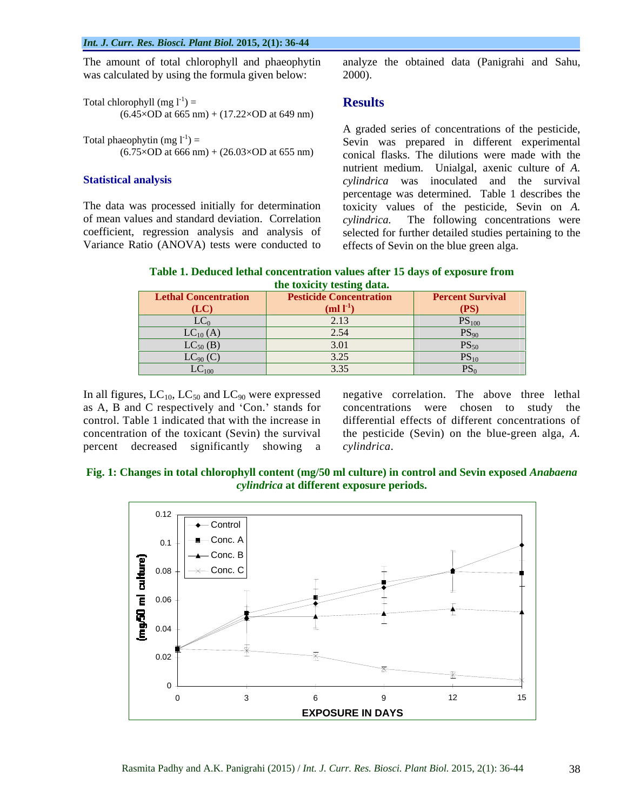was calculated by using the formula given below: 2000).

Total chlorophyll (mg  $I^{-1}$ ) = **Results**  $\mathbf{S}$  =  $\mathbf{Results}$  $(6.45 \times OD$  at 665 nm) +  $(17.22 \times OD$  at 649 nm)

of mean values and standard deviation. Correlation cylindrica. Variance Ratio (ANOVA) tests were conducted to

The amount of total chlorophyll and phaeophytin analyze the obtained data (Panigrahi and Sahu, 2000).

## **Results**

Total phaeophytin  $(mg l^{-1}) =$ <br>Sevin was prepared in different experimental  $(6.75 \times OD$  at 666 nm) +  $(26.03 \times OD$  at 655 nm) conical flasks. The dilutions were made with the **Statistical analysis** *cylindrica* was inoculated and the survival The data was processed initially for determination toxicity values of the pesticide, Sevin on *A.*  coefficient, regression analysis and analysis of selected for further detailed studies pertaining to the A graded series of concentrations of the pesticide, nutrient medium. Unialgal, axenic culture of *A.*  percentage was determined. Table 1 describes the The following concentrations were effects of Sevin on the blue green alga.

**Table 1. Deduced lethal concentration values after 15 days of exposure from the toxicity testing data.**

| <b>Lethal Concentration</b>              | <b>Pesticide Concentration</b> | <b>Percent Survival</b>                 |
|------------------------------------------|--------------------------------|-----------------------------------------|
| $\sigma$                                 | $(ml l-1)$                     | (PS)                                    |
| $\mathbf{r}$ $\alpha$<br>LU <sub>0</sub> | 2.13                           | $\mathbf{D}$<br>$\Gamma$ <sup>100</sup> |
|                                          | 2.54                           | $\mathbf{D}$ $\alpha$<br>$PS_{90}$      |
| $LC_{10}(A)$<br>$LC_{50}(B)$             | 3.01                           | $PS_{50}$                               |
| $LC_{90}(C)$                             | $\sim$ $\sim$ $\sim$<br>3.25   | $n^{q}$<br>$PS_{10}$                    |
| $LC_{100}$                               | $\sim$ $\sim$<br>3.35          |                                         |

In all figures,  $LC_{10}$ ,  $LC_{50}$  and  $LC_{90}$  were expressed as A, B and C respectively and 'Con.' stands for percent decreased significantly showing a

as A, B and C respectively and 'Con.' stands for concentrations were chosen to study the control. Table 1 indicated that with the increase in differential effects of different concentrations of concentration of the toxicant (Sevin) the survival the pesticide (Sevin) on the blue-green alga, *A.* negative correlation. The above three lethal *cylindrica*.



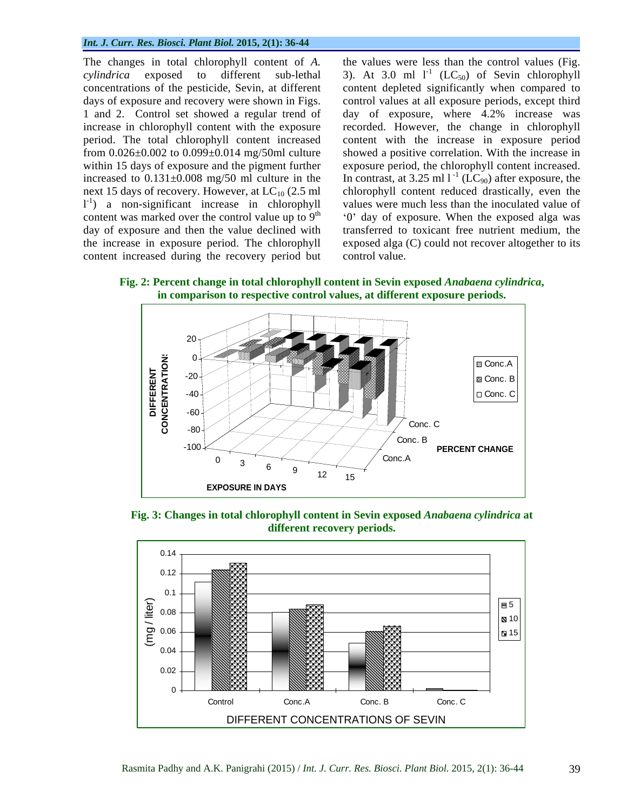### *Int. J. Curr. Res. Biosci. Plant Biol.* **2015, 2(1): 36-44**

concentrations of the pesticide, Sevin, at different  $1^{-1}$ ) a non-significant increase in chlorophyll content increased during the recovery period but

The changes in total chlorophyll content of *A.*  the values were less than the control values (Fig. *cylindrica* exposed to different sub-lethal 3). At 3.0 ml  $I<sup>-1</sup>$  (LC<sub>50</sub>) of Sevin chlorophyll days of exposure and recovery were shown in Figs. control values at all exposure periods, except third 1 and 2. Control set showed a regular trend of day of exposure, where 4.2% increase was increase in chlorophyll content with the exposure recorded. However, the change in chlorophyll period. The total chlorophyll content increased content with the increase in exposure period from 0.026±0.002 to 0.099±0.014 mg/50ml culture showed a positive correlation. With the increase in within 15 days of exposure and the pigment further exposure period, the chlorophyll content increased. increased to  $0.131 \pm 0.008$  mg/50 ml culture in the In contrast, at 3.25 ml  $1^{-1}$  (LC<sub>90</sub>) after exposure, the next 15 days of recovery. However, at  $LC_{10}$  (2.5 ml chlorophyll content reduced drastically, even the ) a non-significant increase in chlorophyll values were much less than the inoculated value of content was marked over the control value up to  $9<sup>th</sup>$  (0) day of exposure. When the exposed alga was day of exposure and then the value declined with transferred to toxicant free nutrient medium, the the increase in exposure period. The chlorophyll exposed alga (C) could not recover altogether to its content depleted significantly when compared to control value.

**Fig. 2: Percent change in total chlorophyll content in Sevin exposed** *Anabaena cylindrica***, in comparison to respective control values, at different exposure periods.**



**Fig. 3: Changes in total chlorophyll content in Sevin exposed** *Anabaena cylindrica* **at different recovery periods.**

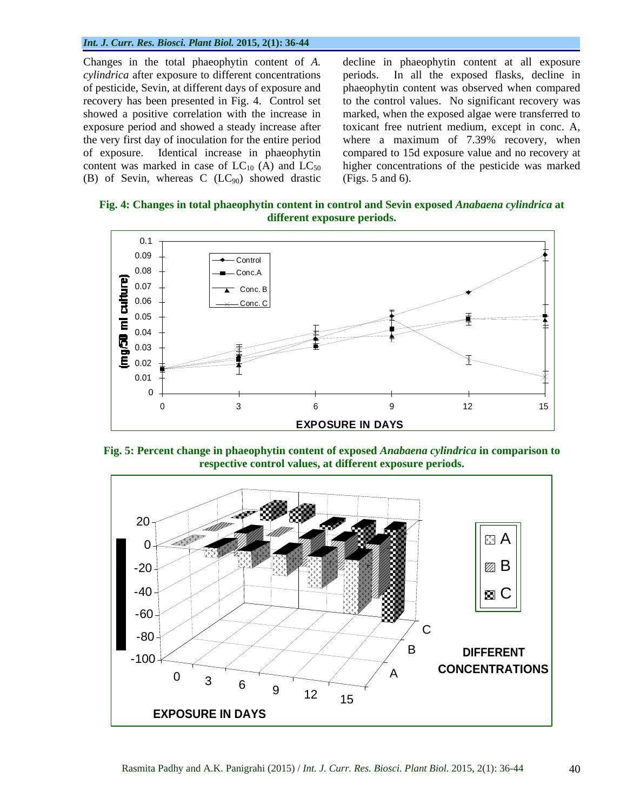### *Int. J. Curr. Res. Biosci. Plant Biol.* **2015, 2(1): 36-44**

*cylindrica* after exposure to different concentrations periods. (B) of Sevin, whereas C  $(LC_{90})$  showed drastic (Figs. 5 and 6).

Changes in the total phaeophytin content of *A.*  decline in phaeophytin content at all exposure of pesticide, Sevin, at different days of exposure and phaeophytin content was observed when compared recovery has been presented in Fig. 4. Control set to the control values. No significant recovery was showed a positive correlation with the increase in marked, when the exposed algae were transferred to exposure period and showed a steady increase after toxicant free nutrient medium, except in conc. A, the very first day of inoculation for the entire period where a maximum of 7.39% recovery, when of exposure. Identical increase in phaeophytin compared to 15d exposure value and no recovery at content was marked in case of  $LC_{10}$  (A) and  $LC_{50}$  higher concentrations of the pesticide was marked In all the exposed flasks, decline in (Figs. 5 and 6).

**Fig. 4: Changes in total phaeophytin content in control and Sevin exposed** *Anabaena cylindrica* **at different exposure periods.**



**Fig. 5: Percent change in phaeophytin content of exposed** *Anabaena cylindrica* **in comparison to respective control values, at different exposure periods.**

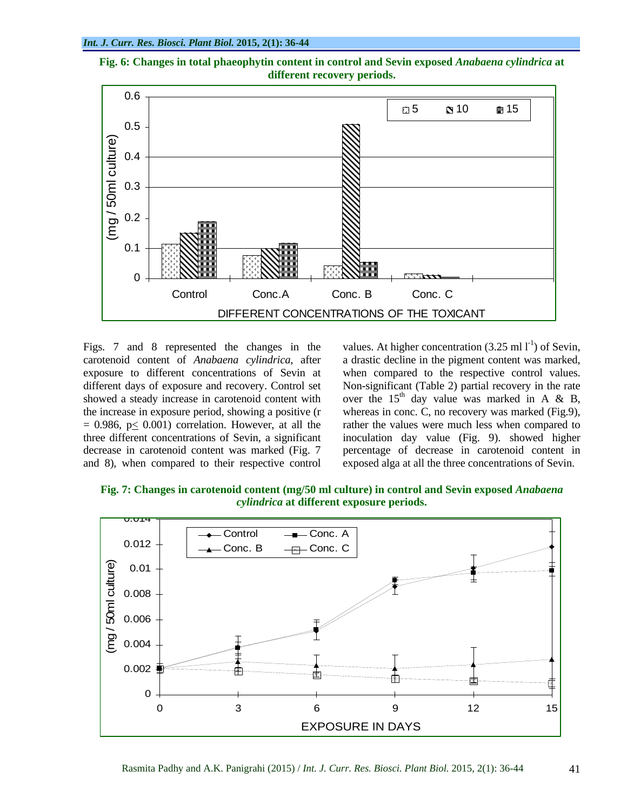



Figs. 7 and 8 represented the changes in the values. At higher concentration  $(3.25 \text{ ml l}^{-1})$  of Sevin, carotenoid content of *Anabaena cylindrica*, after and 8), when compared to their respective control

exposure to different concentrations of Sevin at when compared to the respective control values. different days of exposure and recovery. Control set Non-significant (Table 2) partial recovery in the rate showed a steady increase in carotenoid content with over the  $15<sup>th</sup>$  day value was marked in A & B, the increase in exposure period, showing a positive (r whereas in conc. C, no recovery was marked (Fig.9),  $= 0.986$ ,  $p \le 0.001$ ) correlation. However, at all the rather the values were much less when compared to three different concentrations of Sevin, a significant inoculation day value (Fig. 9). showed higher decrease in carotenoid content was marked (Fig. 7 percentage of decrease in carotenoid content in ) of Sevin, a drastic decline in the pigment content was marked,  $<sup>th</sup>$  day value was marked in A & B,</sup> exposed alga at all the three concentrations of Sevin.

**Fig. 7: Changes in carotenoid content (mg/50 ml culture) in control and Sevin exposed** *Anabaena cylindrica* **at different exposure periods.**

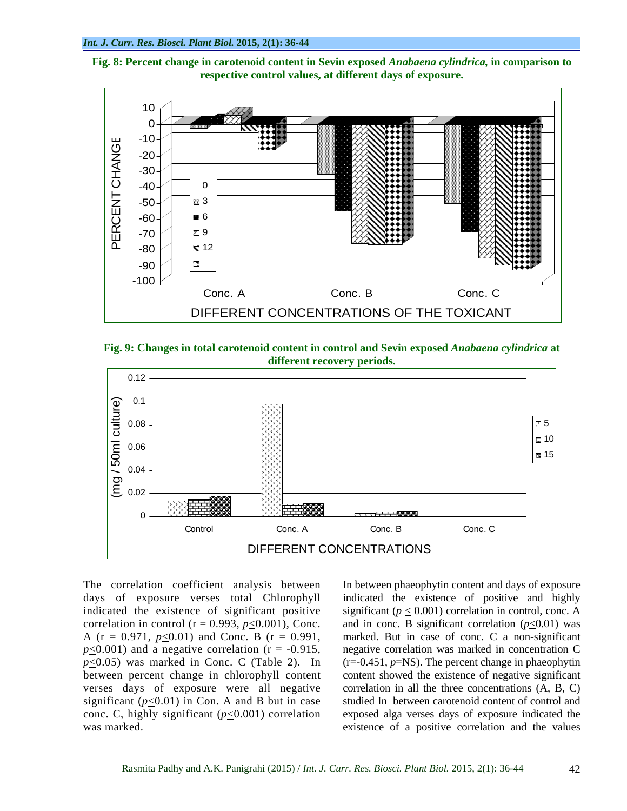



**Fig. 9: Changes in total carotenoid content in control and Sevin exposed** *Anabaena cylindrica* **at different recovery periods.**



days of exposure verses total Chlorophyll indicated the existence of positive and highly indicated the existence of significant positive significant  $(p \le 0.001)$  correlation in control, conc. A correlation in control ( $r = 0.993$ ,  $p \le 0.001$ ), Conc. and in conc. B significant correlation ( $p \le 0.01$ ) was A ( $r = 0.971$ ,  $p \le 0.01$ ) and Conc. B ( $r = 0.991$ , marked. But in case of conc. C a non-significant  $p\leq 0.001$ ) and a negative correlation ( $r = -0.915$ , negative correlation was marked in concentration C  $p \leq 0.05$ ) was marked in Conc. C (Table 2). In (r=-0.451, *p*=NS). The percent change in phaeophytin between percent change in chlorophyll content verses days of exposure were all negative correlation in all the three concentrations (A, B, C) significant  $(p \le 0.01)$  in Con. A and B but in case studied In between carotenoid content of control and conc. C, highly significant  $(p \le 0.001)$  correlation exposed alga verses days of exposure indicated the

The correlation coefficient analysis between In between phaeophytin content and days of exposure The correlation coefficient analysis between In between phaeophytin content and days of exposure<br>days of exposure verses total Chlorophyll indicated the existence of positive and highly<br>content of existence of significant content showed the existence of negative significant existence of a positive correlation and the values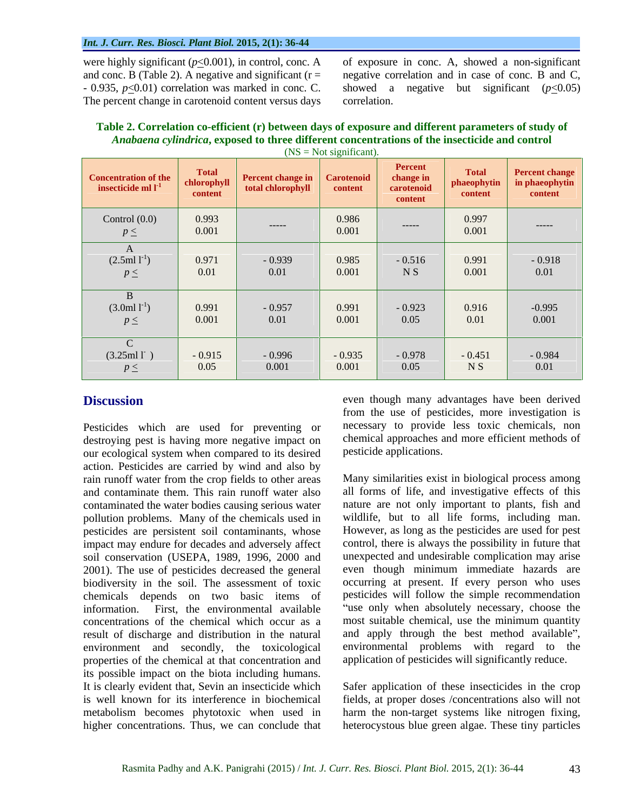### *Int. J. Curr. Res. Biosci. Plant Biol.* **2015, 2(1): 36-44**

The percent change in carotenoid content versus days correlation.

were highly significant  $(p \le 0.001)$ , in control, conc. A of exposure in conc. A, showed a non-significant and conc. B (Table 2). A negative and significant (r = - - negative correlation and in case of conc. B and C, - 0.935,  $p \le 0.01$ ) correlation was marked in conc. C. - showed a negative but significant ( $p \le 0.05$ ) negative correlation and in case of conc. B and C, showed a negative but significant  $(p<0.05)$ correlation.

# **Table 2. Correlation co-efficient (r) between days of exposure and different parameters of study of**  *Anabaena cylindrica***, exposed to three different concentrations of the insecticide and control**

| $(NS = Not significant).$                           |                                        |                                                          |                   |                                               |                                        |                                                    |  |
|-----------------------------------------------------|----------------------------------------|----------------------------------------------------------|-------------------|-----------------------------------------------|----------------------------------------|----------------------------------------------------|--|
| <b>Concentration of the</b><br>insecticide ml $I-1$ | <b>Total</b><br>chlorophyll<br>content | <b>Percent change in Carotenoid</b><br>total chlorophyll | content           | Percent<br>change in<br>carotenoid<br>content | <b>Total</b><br>phaeophytin<br>content | <b>Percent change</b><br>in phaeophytin<br>content |  |
| Control $(0.0)$<br>$p \leq$                         | 0.993<br>0.001                         | ------                                                   | 0.986<br>0.001    | $-----$                                       | 0.997<br>0.001                         | ------                                             |  |
| $\Lambda$<br>$(2.5ml1^{-1})$<br>$p \leq$            | 0.971<br>0.01                          | $-0.939$<br>0.01                                         | 0.985<br>0.001    | $-0.516$<br>N <sub>S</sub>                    | 0.991<br>0.001                         | $-0.918$<br>0.01                                   |  |
| B<br>$(3.0 \text{ml } l^{-1})$<br>$p \leq$          | 0.991<br>0.001                         | $-0.957$<br>0.01                                         | 0.991<br>0.001    | $-0.923$<br>0.05                              | 0.916<br>0.01                          | $-0.995$<br>0.001                                  |  |
| $\sim$<br>(3.25ml1)<br>$p \leq$                     | $-0.915$<br>0.05                       | $-0.996$<br>0.001                                        | $-0.935$<br>0.001 | $-0.978$<br>0.05                              | $-0.451$<br>N <sub>S</sub>             | $-0.984$<br>0.01                                   |  |

Pesticides which are used for preventing or destroying pest is having more negative impact on our ecological system when compared to its desired action. Pesticides are carried by wind and also by rain runoff water from the crop fields to other areas contaminated the water bodies causing serious water pollution problems. Many of the chemicals used in pesticides are persistent soil contaminants, whose impact may endure for decades and adversely affect soil conservation (USEPA, 1989, 1996, 2000 and 2001). The use of pesticides decreased the general biodiversity in the soil. The assessment of toxic chemicals depends on two basic items of information. First, the environmental available concentrations of the chemical which occur as a result of discharge and distribution in the natural environment and secondly, the toxicological properties of the chemical at that concentration and its possible impact on the biota including humans. It is clearly evident that, Sevin an insecticide which Safer application of these insecticides in the crop is well known for its interference in biochemical fields, at proper doses /concentrations also will not metabolism becomes phytotoxic when used in harm the non-target systems like nitrogen fixing,

**Discussion** even though many advantages have been derived from the use of pesticides, more investigation is necessary to provide less toxic chemicals, non chemical approaches and more efficient methods of pesticide applications.

and contaminate them. This rain runoff water also all forms of life, and investigative effects of this Many similarities exist in biological process among nature are not only important to plants, fish and wildlife, but to all life forms, including man. However, as long as the pesticides are used for pest control, there is always the possibility in future that unexpected and undesirable complication may arise even though minimum immediate hazards are occurring at present. If every person who uses pesticides will follow the simple recommendation "use only when absolutely necessary, choose the most suitable chemical, use the minimum quantity and apply through the best method available", environmental problems with regard to the application of pesticides will significantly reduce.

higher concentrations. Thus, we can conclude that heterocystous blue green algae. These tiny particles